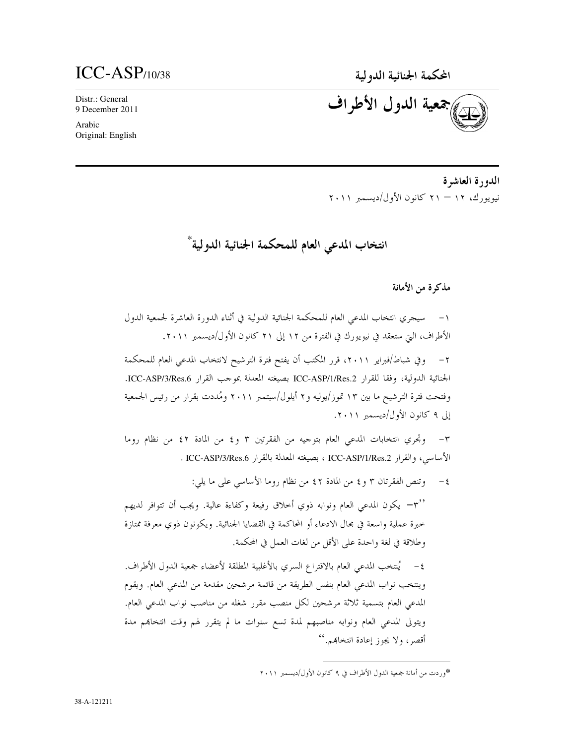## $ICC-ASP$ <sub>110/38</sub>

Distr.: General 9 December 2011

Arabic Original: English جعية الدول الأطراف

الدورة العاشرة نيويورك، ١٢ – ٢١ كانون الأول/ديسمبر ٢٠١١

انتخاب المدعى العام للمحكمة الجنائية الدولية \*

مذكرة من الأمانة

١– سيجري انتخاب المدعى العام للمحكمة الجنائية الدولية في أثناء الدورة العاشرة لجمعية الدول الأطراف، التي ستعقد في نيويورك في الفترة من ١٢ إلى ٢١ كانون الأول/ديسمبر ٢٠١١. ٢– وفي شباط/فبراير ٢٠١١، قرر المكتب أن يفتح فترة الترشيح لانتخاب المدعى العام للمحكمة الجنائية الدولية، وفقا للقرار ICC-ASP/1/Res.2 بصيغته المعدلة بموحب القرار ICC-ASP/3/Res.6. وفتحت فترة الترشيح ما بين ١٣ تموز/يوليه و٢ أيلول/سبتمبر ٢٠١١ ومُددت بقرار من رئيس الجمعية إلى ٩ كانون الأول/ديسمبر ٢٠١١. ٣- وتجري انتخابات المدعى العام بتوجيه من الفقرتين ٣ و٤ من المادة ٤٢ من نظام روما

الأساسي، والقرار ICC-ASP/1/Res.2 ، بصيغته المعدلة بالقرار ICC-ASP/3/Res.6 .

٤- وتنص الفقرتان ٣ و ٤ من المادة ٤٢ من نظام روما الأساسي على ما يلي:

"۳" – يكون المدعى العام ونوابه ذوي أحلاق رفيعة وكفاءة عالية. ويجب أن تتوافر لديهم خبرة عملية واسعة في مجال الادعاء أو المحاكمة في القضايا الجنائية. ويكونون ذوى معرفة ممتازة وطلاقة في لغة واحدة على الأقل من لغات العمل في المحكمة.

٤– يُنتخب المدعى العام بالاقتراع السري بالأغلبية المطلقة لأعضاء جمعية الدول الأطراف. وينتخب نواب المدعى العام بنفس الطريقة من قائمة مرشحين مقدمة من المدعى العام. ويقوم المدعى العام بتسمية ثلاثة مرشحين لكل منصب مقرر شغله من مناصب نواب المدعى العام. ويتولى المدعى العام ونوابه مناصبهم لمدة تسع سنوات ما لم يتقرر لهم وقت انتخابهم مدة أقصر، ولا يجوز إعادة انتخابهم.''

<sup>\*</sup>وردت من أمانة جمعية الدول الأطراف في ٩ كانون الأول/ديسمبر ٢٠١١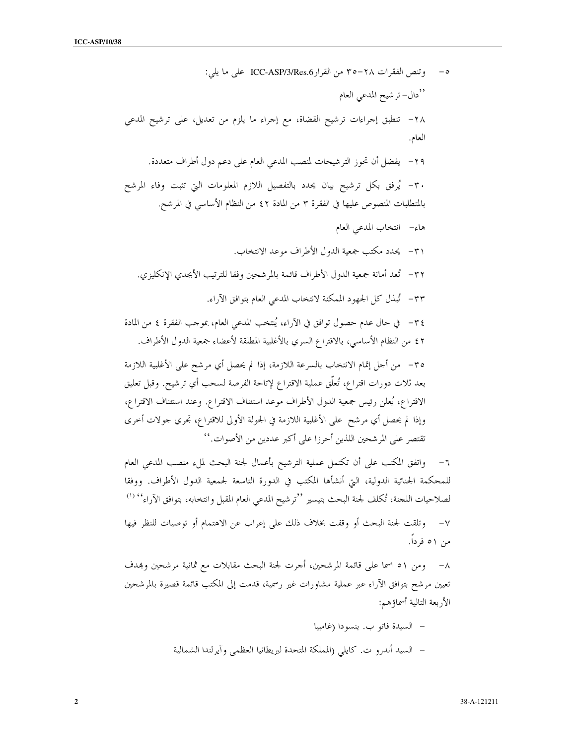وتنص الفقرات ٢٨–٣٥ من القرار ICC-ASP/3/Res.6 على ما يلي:  $-\circ$ ''دال– تر شيح المدعى العام ٢٨ - تنطبق إجراءات ترشيح القضاة، مع إجراء ما يلزم من تعديل، على ترشيح المدعى العام. ٢٩– يفضل أن تحوز الترشيحات لمنصب المدعى العام على دعم دول أطراف متعددة. ٣٠- يُرفق بكل ترشيح بيان يحدد بالتفصيل اللازم المعلومات التي تثبت وفاء المرشح بالمتطلبات المنصوص عليها في الفقرة ٣ من المادة ٤٢ من النظام الأساسي في المرشح. هاء– انتخاب المدعى العام ٣١– يحدد مكتب جمعية الدول الأطراف موعد الانتخاب. ٣٢- تُعد أمانة جمعية الدول الأطراف قائمة بالمرشحين وفقا للترتيب الأبجدي الإنكليزي. ٣٣– تُبذَّل كلَّ الجهود الممكنة لانتخاب المدعى العام بتوافق الآراء. ٣٤- في حال عدم حصول توافق في الآراء، يُنتخب المدعى العام، بموحب الفقرة ٤ من المادة ٤٢ من النظام الأساسي، بالاقتراع السري بالأغلبية المطلقة لأعضاء جمعية الدول الأطراف. ٣٥– من أحل إتمام الانتخاب بالسرعة اللازمة، إذا لم يحصل أي مرشح على الأغلبية اللازمة بعد ثلاث دورات اقتراع، تُعلَّق عملية الاقتراع لإتاحة الفرصة لسحب أي ترشيح. وقبل تعليق الاقتراع، يُعلن رئيس جمعية الدول الأطراف موعد استئناف الاقتراع. وعند استئناف الاقتراع، وإذا لم يحصل أي مرشح على الأغلبية اللازمة في الجولة الأولى للاقتراع، تجري حولات أخرى تقتصر على المرشحين اللذين أحرزا على أكبر عددين من الأصوات.''

٦– واتفق المكتب على أن تكتمل عملية الترشيح بأعمال لجنة البحث لملء منصب المدعى العام للمحكمة الجنائية الدولية، التي أنشأها المكتب في الدورة التاسعة لجمعية الدول الأطراف. ووفقا لصلاحيات اللحنة، تُكلف لجنة البحث بتيسير ''ترشيح المدعى العام المقبل وانتخابه، بتوافق الآراء'' (') وتلقت لجنة البحث أو وقفت بخلاف ذلك على إعراب عن الاهتمام أو توصيات للنظر فيها  $-\gamma$ من ٥١ فردا.

٨– ومن ٥١ اسما على قائمة المرشحين، أجرت لجنة البحث مقابلات مع ثمانية مرشحين وبمدف تعيين مرشح بتوافق الآراء عبر عملية مشاورات غير رسمية، قدمت إلى المكتب قائمة قصيرة بالمرشحين الأربعة التالية أسماؤهم:

> – السيدة فاتو ب. بنسودا (غامبيا – السيد أندرو ت. كايلي (المملكة المتحدة لبريطانيا العظمى وآيرلندا الشمالية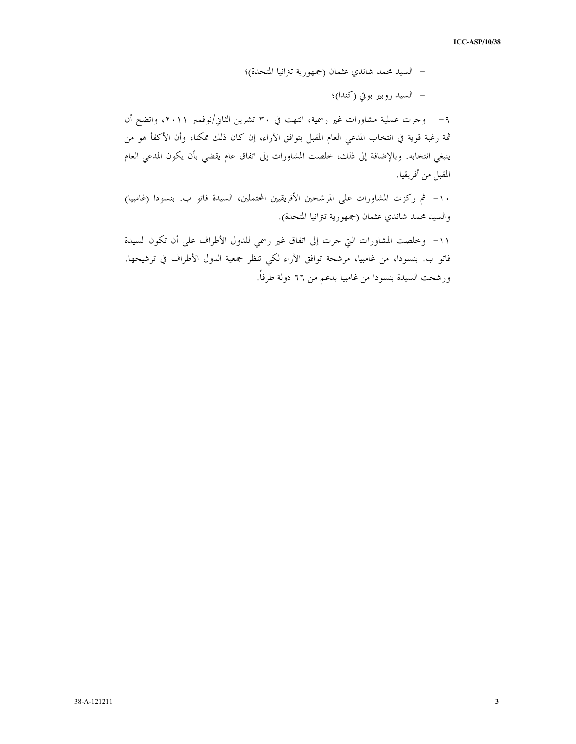– السيد محمد شاندي عثمان (جمهورية تترانيا المتحدة)؛

– السيد روبير بوتي (كندا)؛

٩– وجرت عملية مشاورات غير رسمية، انتهت في ٣٠ تشرين الثاني/نوفمبر ٢٠١١، واتضح أن ثمة رغبة قوية في انتخاب المدعى العام المقبل بتوافق الآراء، إن كان ذلك ممكنا، وأن الأكفأ هو من ينبغي انتخابه. وبالإضافة إلى ذلك، خلصت المشاورات إلى اتفاق عام يقضي بأن يكون المدعى العام المقبل من أفريقيا.

١٠- ثم ركزت المشاورات على المرشحين الأفريقيين المحتملين، السيدة فاتو ب. بنسودا (غامبيا) والسيد محمد شاندي عثمان (جمهورية تنزانيا المتحدة).

١١- وخلصت المشاورات التي حرت إلى اتفاق غير رسمي للدول الأطراف على أن تكون السيدة فاتو ب. بنسودا، من غامبيا، مرشحة توافق الآراء لكي تنظر جمعية الدول الأطراف في ترشيحها. ورشحت السيدة بنسودا من غامبيا بدعم من ٦٦ دولة طرفاً.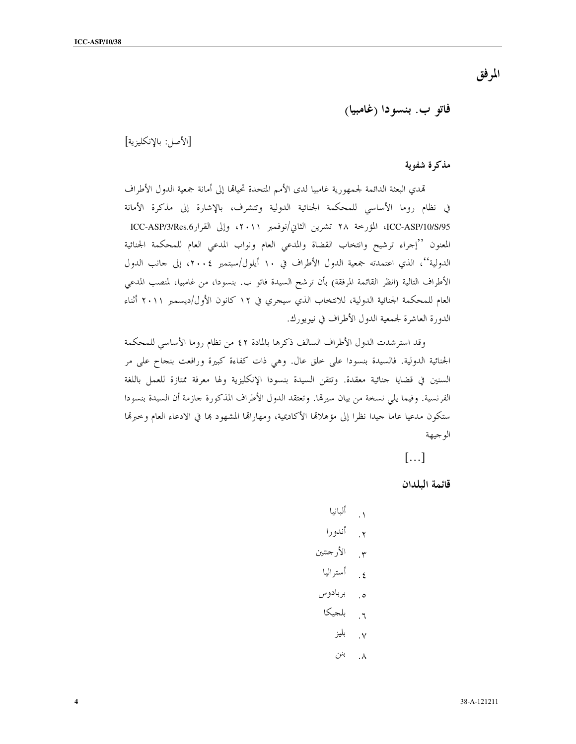المرفق

فاتو ب. بنسودا (غامبيا)

## [الأصل: بالإنكليزية]

## مذكرة شفوية

تمدي البعثة الدائمة لجمهورية غامبيا لدى الأمم المتحدة تحيالها إلى أمانة جمعية الدول الأطراف في نظام روما الأساسي للمحكمة الجنائية الدولية وتتشرف، بالإشارة إلى مذكرة الأمانة ICC-ASP/10/S/95، المؤرخة ٢٨ تشرين الثاني/نوفمبر ٢٠١١، وإلى القرارASP/3/Res.6 ICC-ASP/3 المعنون ''إجراء ترشيح وانتخاب القضاة والمدعى العام ونواب المدعى العام للمحكمة الجنائية الدولية''، الذي اعتمدته جمعية الدول الأطراف في ١٠ أيلول/سبتمبر ٢٠٠٤، إلى حانب الدول الأطراف التالية (انظر القائمة المرفقة) بأن ترشح السيدة فاتو ب. بنسودا، من غامبيا، لمنصب المدعى العام للمحكمة الجنائية الدولية، للانتخاب الذي سيجري في ١٢ كانون الأول/ديسمبر ٢٠١١ أثناء الدورة العاشرة لجمعية الدول الأطراف في نيويورك.

وقد استرشدت الدول الأطراف السالف ذكرها بالمادة ٤٢ من نظام روما الأساسي للمحكمة الجنائية الدولية. فالسيدة بنسودا على حلق عال. وهي ذات كفاءة كبيرة ورافعت بنجاح على مر السنين في قضايا جنائية معقدة. وتتقن السيدة بنسودا الإنكليزية ولها معرفة ممتازة للعمل باللغة الفرنسية. وفيما يلي نسخة من بيان سيرتما. وتعتقد الدول الأطراف المذكورة جازمة أن السيدة بنسودا ستكون مدعيا عاما جيدا نظرا إلى مؤهلالها الأكاديمية، ومهارالها المشهود بما في الادعاء العام وحبرتما الو جيهة

 $\left[\ldots\right]$ 

قائمة البلدان